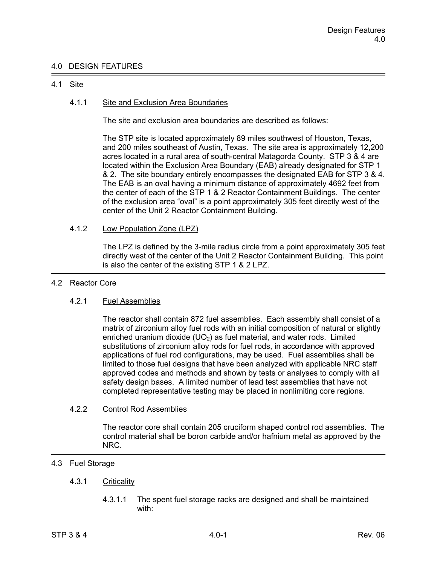## 4.0 DESIGN FEATURES

### 4.1 Site

## 4.1.1 Site and Exclusion Area Boundaries

The site and exclusion area boundaries are described as follows:

The STP site is located approximately 89 miles southwest of Houston, Texas, and 200 miles southeast of Austin, Texas. The site area is approximately 12,200 acres located in a rural area of south-central Matagorda County. STP 3 & 4 are located within the Exclusion Area Boundary (EAB) already designated for STP 1 & 2. The site boundary entirely encompasses the designated EAB for STP 3 & 4. The EAB is an oval having a minimum distance of approximately 4692 feet from the center of each of the STP 1 & 2 Reactor Containment Buildings. The center of the exclusion area "oval" is a point approximately 305 feet directly west of the center of the Unit 2 Reactor Containment Building.

## 4.1.2 Low Population Zone (LPZ)

 The LPZ is defined by the 3-mile radius circle from a point approximately 305 feet directly west of the center of the Unit 2 Reactor Containment Building. This point is also the center of the existing STP 1 & 2 LPZ.

#### 4.2 Reactor Core

## 4.2.1 Fuel Assemblies

 The reactor shall contain 872 fuel assemblies. Each assembly shall consist of a matrix of zirconium alloy fuel rods with an initial composition of natural or slightly enriched uranium dioxide (UO<sub>2</sub>) as fuel material, and water rods. Limited substitutions of zirconium alloy rods for fuel rods, in accordance with approved applications of fuel rod configurations, may be used. Fuel assemblies shall be limited to those fuel designs that have been analyzed with applicable NRC staff approved codes and methods and shown by tests or analyses to comply with all safety design bases. A limited number of lead test assemblies that have not completed representative testing may be placed in nonlimiting core regions.

#### 4.2.2 Control Rod Assemblies

 The reactor core shall contain 205 cruciform shaped control rod assemblies. The control material shall be boron carbide and/or hafnium metal as approved by the NRC.

# 4.3 Fuel Storage

## 4.3.1 Criticality

 4.3.1.1 The spent fuel storage racks are designed and shall be maintained with: